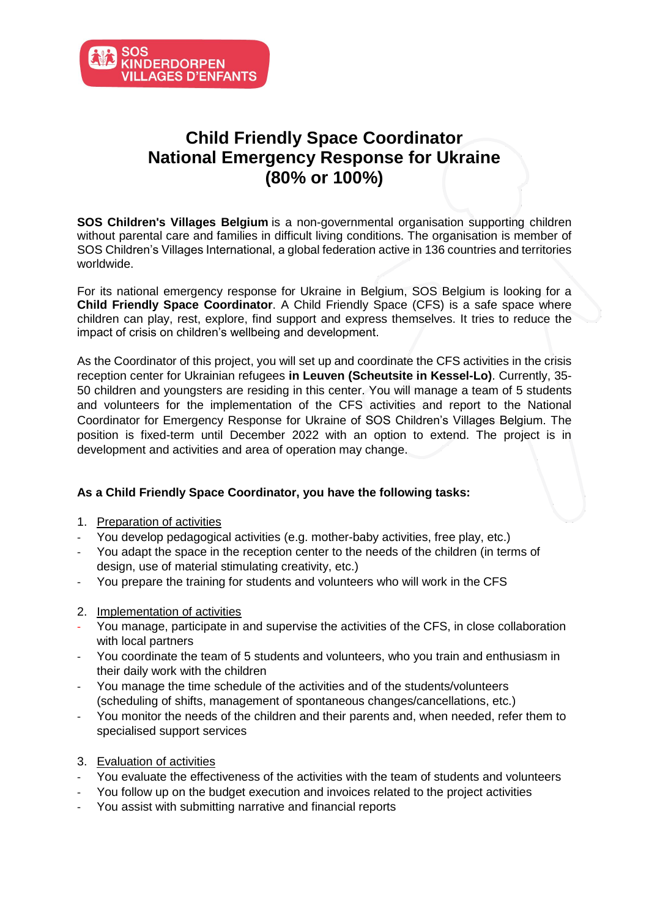

## **Child Friendly Space Coordinator National Emergency Response for Ukraine (80% or 100%)**

**SOS Children's Villages Belgium** is a non-governmental organisation supporting children without parental care and families in difficult living conditions. The organisation is member of SOS Children's Villages International, a global federation active in 136 countries and territories worldwide.

For its national emergency response for Ukraine in Belgium, SOS Belgium is looking for a **Child Friendly Space Coordinator**. A Child Friendly Space (CFS) is a safe space where children can play, rest, explore, find support and express themselves. It tries to reduce the impact of crisis on children's wellbeing and development.

As the Coordinator of this project, you will set up and coordinate the CFS activities in the crisis reception center for Ukrainian refugees **in Leuven (Scheutsite in Kessel-Lo)**. Currently, 35- 50 children and youngsters are residing in this center. You will manage a team of 5 students and volunteers for the implementation of the CFS activities and report to the National Coordinator for Emergency Response for Ukraine of SOS Children's Villages Belgium. The position is fixed-term until December 2022 with an option to extend. The project is in development and activities and area of operation may change.

## **As a Child Friendly Space Coordinator, you have the following tasks:**

- 1. Preparation of activities
- You develop pedagogical activities (e.g. mother-baby activities, free play, etc.)
- You adapt the space in the reception center to the needs of the children (in terms of design, use of material stimulating creativity, etc.)
- You prepare the training for students and volunteers who will work in the CFS
- 2. Implementation of activities
- You manage, participate in and supervise the activities of the CFS, in close collaboration with local partners
- You coordinate the team of 5 students and volunteers, who you train and enthusiasm in their daily work with the children
- You manage the time schedule of the activities and of the students/volunteers (scheduling of shifts, management of spontaneous changes/cancellations, etc.)
- You monitor the needs of the children and their parents and, when needed, refer them to specialised support services
- 3. Evaluation of activities
- You evaluate the effectiveness of the activities with the team of students and volunteers
- You follow up on the budget execution and invoices related to the project activities
- You assist with submitting narrative and financial reports